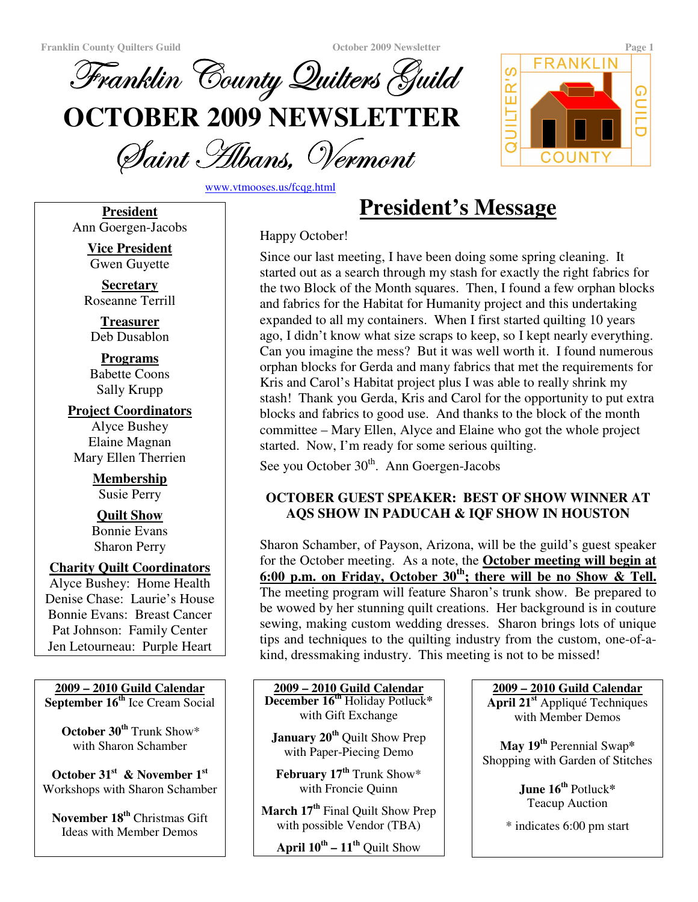

Saint Albans, Vermoni

www.vtmooses.us/fcqg.html

**President** Ann Goergen-Jacobs

> **Vice President** Gwen Guyette

**Secretary** Roseanne Terrill

**Treasurer** Deb Dusablon

**Programs** Babette Coons Sally Krupp

**Project Coordinators** Alyce Bushey Elaine Magnan Mary Ellen Therrien

> **Membership** Susie Perry

> **Quilt Show** Bonnie Evans Sharon Perry

# **Charity Quilt Coordinators**

Alyce Bushey: Home Health Denise Chase: Laurie's House Bonnie Evans: Breast Cancer Pat Johnson: Family Center Jen Letourneau: Purple Heart

**2009 – 2010 Guild Calendar September 16 th** Ice Cream Social

**October 30 th** Trunk Show\* with Sharon Schamber

**October 31 st & November 1 st** Workshops with Sharon Schamber

**November 18 th** Christmas Gift Ideas with Member Demos

Happy October!

Since our last meeting, I have been doing some spring cleaning. It started out as a search through my stash for exactly the right fabrics for the two Block of the Month squares. Then, I found a few orphan blocks and fabrics for the Habitat for Humanity project and this undertaking expanded to all my containers. When I first started quilting 10 years ago, I didn't know what size scraps to keep, so I kept nearly everything. Can you imagine the mess? But it was well worth it. I found numerous orphan blocks for Gerda and many fabrics that met the requirements for Kris and Carol's Habitat project plus I was able to really shrink my stash! Thank you Gerda, Kris and Carol for the opportunity to put extra blocks and fabrics to good use. And thanks to the block of the month committee – Mary Ellen, Alyce and Elaine who got the whole project started. Now, I'm ready for some serious quilting.

**President's Message**

See you October 30<sup>th</sup>. Ann Goergen-Jacobs

# **OCTOBER GUEST SPEAKER: BEST OF SHOW WINNER AT AQS SHOW IN PADUCAH & IQF SHOW IN HOUSTON**

Sharon Schamber, of Payson, Arizona, will be the guild's guest speaker for the October meeting. As a note, the **October meeting will begin at 6:00 p.m. on Friday, October 30 th ; there will be no Show & Tell.** The meeting program will feature Sharon's trunk show. Be prepared to be wowed by her stunning quilt creations. Her background is in couture sewing, making custom wedding dresses. Sharon brings lots of unique tips and techniques to the quilting industry from the custom, one-of-akind, dressmaking industry. This meeting is not to be missed!

**2009 – 2010 Guild Calendar December 16 th** Holiday Potluck**\*** with Gift Exchange

**January 20 th** Quilt Show Prep with Paper-Piecing Demo

**February 17 th** Trunk Show\* with Froncie Quinn

**March 17 th** Final Quilt Show Prep with possible Vendor (TBA)

**April 10 th – 11 th** Quilt Show

**2009 – 2010 Guild Calendar April 21 st** Appliqué Techniques

with Member Demos

**May 19 th** Perennial Swap**\*** Shopping with Garden of Stitches

> **June 16 th** Potluck**\*** Teacup Auction

\* indicates 6:00 pm start

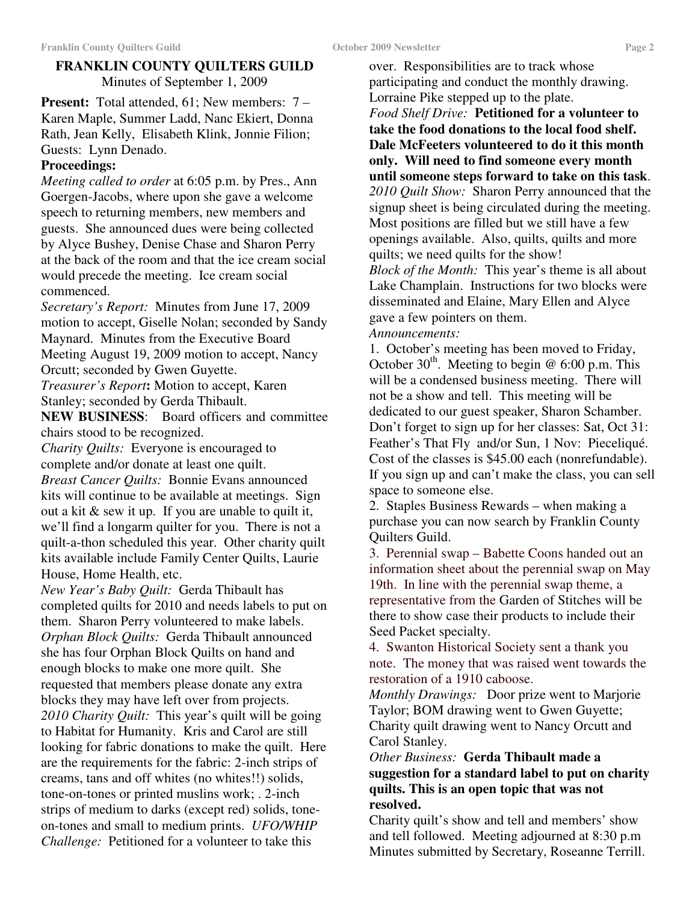# **FRANKLIN COUNTY QUILTERS GUILD** Minutes of September 1, 2009

**Present:** Total attended, 61; New members: 7 – Karen Maple, Summer Ladd, Nanc Ekiert, Donna Rath, Jean Kelly, Elisabeth Klink, Jonnie Filion; Guests: Lynn Denado.

## **Proceedings:**

*Meeting called to order* at 6:05 p.m. by Pres., Ann Goergen-Jacobs, where upon she gave a welcome speech to returning members, new members and guests. She announced dues were being collected by Alyce Bushey, Denise Chase and Sharon Perry at the back of the room and that the ice cream social would precede the meeting. Ice cream social commenced.

*Secretary's Report:* Minutes from June 17, 2009 motion to accept, Giselle Nolan; seconded by Sandy Maynard. Minutes from the Executive Board Meeting August 19, 2009 motion to accept, Nancy Orcutt; seconded by Gwen Guyette.

*Treasurer's Report***:** Motion to accept, Karen Stanley; seconded by Gerda Thibault.

**NEW BUSINESS**: Board officers and committee chairs stood to be recognized.

*Charity Quilts:* Everyone is encouraged to complete and/or donate at least one quilt. *Breast Cancer Quilts:* Bonnie Evans announced kits will continue to be available at meetings. Sign out a kit  $\&$  sew it up. If you are unable to quilt it, we'll find a longarm quilter for you. There is not a quilt-a-thon scheduled this year. Other charity quilt kits available include Family Center Quilts, Laurie House, Home Health, etc.

*New Year's Baby Quilt:* Gerda Thibault has completed quilts for 2010 and needs labels to put on them. Sharon Perry volunteered to make labels. *Orphan Block Quilts:* Gerda Thibault announced she has four Orphan Block Quilts on hand and enough blocks to make one more quilt. She requested that members please donate any extra blocks they may have left over from projects. *2010 Charity Quilt:* This year's quilt will be going to Habitat for Humanity. Kris and Carol are still looking for fabric donations to make the quilt. Here are the requirements for the fabric: 2-inch strips of creams, tans and off whites (no whites!!) solids, tone-on-tones or printed muslins work; . 2-inch strips of medium to darks (except red) solids, toneon-tones and small to medium prints. *UFO/WHIP Challenge:* Petitioned for a volunteer to take this

over. Responsibilities are to track whose participating and conduct the monthly drawing. Lorraine Pike stepped up to the plate. *Food Shelf Drive:* **Petitioned for a volunteer to take the food donations to the local food shelf. Dale McFeeters volunteered to do it this month only. Will need to find someone every month until someone steps forward to take on this task**. *2010 Quilt Show:* Sharon Perry announced that the

signup sheet is being circulated during the meeting. Most positions are filled but we still have a few openings available. Also, quilts, quilts and more quilts; we need quilts for the show!

*Block of the Month:* This year's theme is all about Lake Champlain. Instructions for two blocks were disseminated and Elaine, Mary Ellen and Alyce gave a few pointers on them.

*Announcements:*

1. October's meeting has been moved to Friday, October  $30<sup>th</sup>$ . Meeting to begin @ 6:00 p.m. This will be a condensed business meeting. There will not be a show and tell. This meeting will be dedicated to our guest speaker, Sharon Schamber. Don't forget to sign up for her classes: Sat, Oct 31: Feather's That Fly and/or Sun, 1 Nov: Pieceliqué. Cost of the classes is \$45.00 each (nonrefundable). If you sign up and can't make the class, you can sell space to someone else.

2. Staples Business Rewards – when making a purchase you can now search by Franklin County Quilters Guild.

3. Perennial swap – Babette Coons handed out an information sheet about the perennial swap on May 19th. In line with the perennial swap theme, a representative from the Garden of Stitches will be there to show case their products to include their Seed Packet specialty.

4. Swanton Historical Society sent a thank you note. The money that was raised went towards the restoration of a 1910 caboose.

*Monthly Drawings:* Door prize went to Marjorie Taylor; BOM drawing went to Gwen Guyette; Charity quilt drawing went to Nancy Orcutt and Carol Stanley.

## *Other Business:* **Gerda Thibault made a suggestion for a standard label to put on charity quilts. This is an open topic that was not resolved.**

Charity quilt's show and tell and members' show and tell followed. Meeting adjourned at 8:30 p.m Minutes submitted by Secretary, Roseanne Terrill.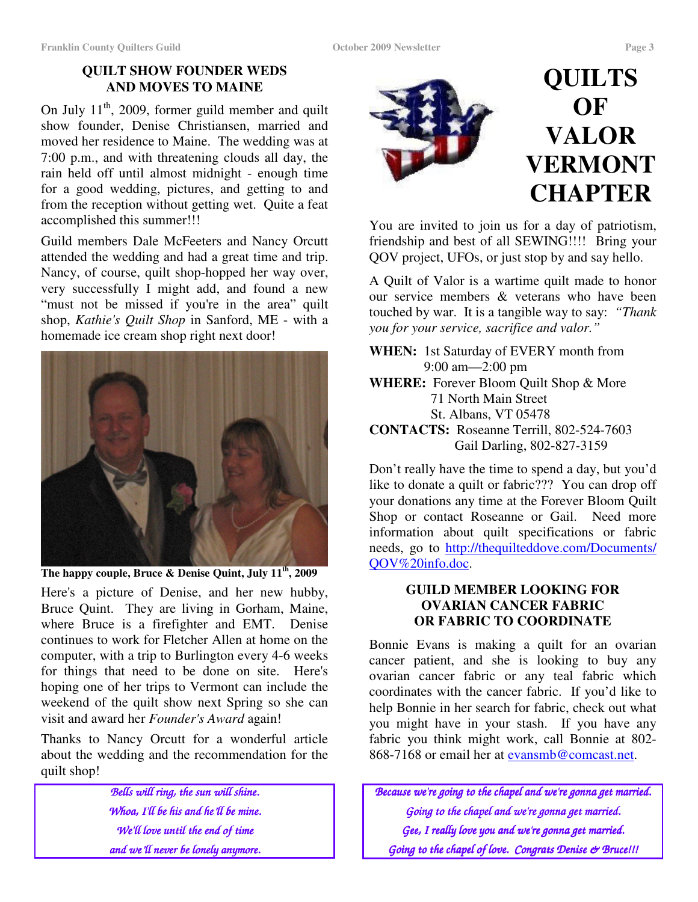# **QUILT SHOW FOUNDER WEDS AND MOVES TO MAINE**

On July  $11<sup>th</sup>$ , 2009, former guild member and quilt show founder, Denise Christiansen, married and moved her residence to Maine. The wedding was at 7:00 p.m., and with threatening clouds all day, the rain held off until almost midnight - enough time for a good wedding, pictures, and getting to and from the reception without getting wet. Quite a feat accomplished this summer!!!

Guild members Dale McFeeters and Nancy Orcutt attended the wedding and had a great time and trip. Nancy, of course, quilt shop-hopped her way over, very successfully I might add, and found a new "must not be missed if you're in the area" quilt shop, *Kathie's Quilt Shop* in Sanford, ME - with a homemade ice cream shop right next door!



**The happy couple, Bruce & Denise Quint, July 11 th , 2009**

Here's a picture of Denise, and her new hubby, Bruce Quint. They are living in Gorham, Maine, where Bruce is a firefighter and EMT. Denise continues to work for Fletcher Allen at home on the computer, with a trip to Burlington every 4-6 weeks for things that need to be done on site. Here's hoping one of her trips to Vermont can include the weekend of the quilt show next Spring so she can visit and award her *Founder's Award* again!

Thanks to Nancy Orcutt for a wonderful article about the wedding and the recommendation for the quilt shop!

> *Bells will ring, the sun will shine. Whoa, I'll be his and he'll be mine. We'll love until the end of time and we'll never be lonely anymore.*



You are invited to join us for a day of patriotism, friendship and best of all SEWING!!!! Bring your QOV project, UFOs, or just stop by and say hello.

A Quilt of Valor is a wartime quilt made to honor our service members & veterans who have been touched by war. It is a tangible way to say: *"Thank you for your service, sacrifice and valor."*

**WHEN:** 1st Saturday of EVERY month from 9:00 am—2:00 pm **WHERE:** Forever Bloom Quilt Shop & More 71 North Main Street St. Albans, VT 05478 **CONTACTS:** Roseanne Terrill, 802-524-7603

Gail Darling, 802-827-3159

Don't really have the time to spend a day, but you'd like to donate a quilt or fabric??? You can drop off your donations any time at the Forever Bloom Quilt Shop or contact Roseanne or Gail. Need more information about quilt specifications or fabric needs, go to http://thequilteddove.com/Documents/ QOV%20info.doc.

## **GUILD MEMBER LOOKING FOR OVARIAN CANCER FABRIC OR FABRIC TO COORDINATE**

Bonnie Evans is making a quilt for an ovarian cancer patient, and she is looking to buy any ovarian cancer fabric or any teal fabric which coordinates with the cancer fabric. If you'd like to help Bonnie in her search for fabric, check out what you might have in your stash. If you have any fabric you think might work, call Bonnie at 802- 868-7168 or email her at evansmb@comcast.net.

*Because we're going to the chapel and we're gonna get married. Going to the chapel and we're gonna get married. Gee, I really love you and we're gonna get married. Going to the chapel of love. Congrats Denise & Bruce!!!*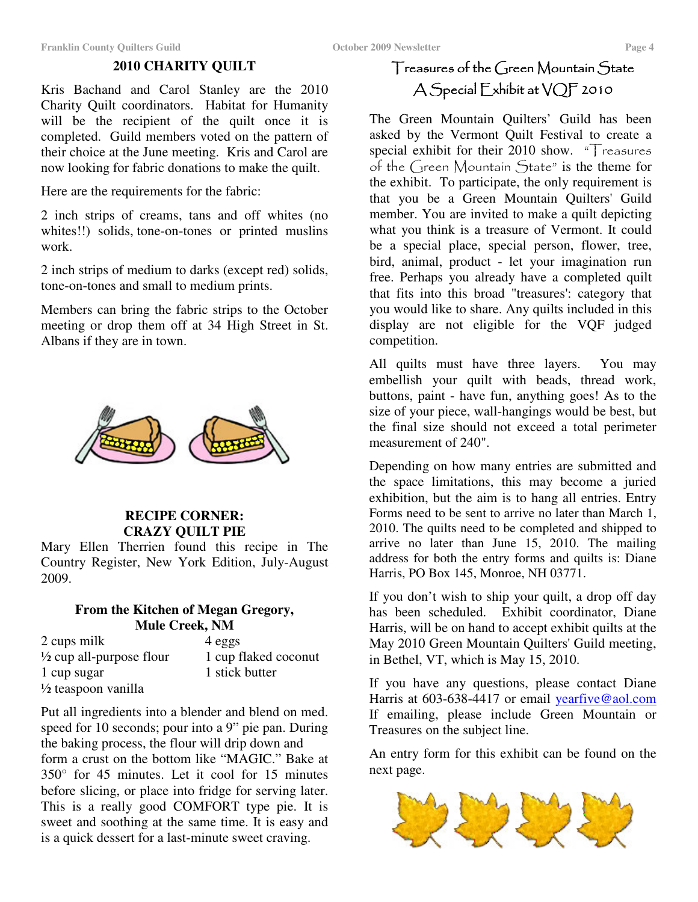### **2010 CHARITY QUILT**

Kris Bachand and Carol Stanley are the 2010 Charity Quilt coordinators. Habitat for Humanity will be the recipient of the quilt once it is completed. Guild members voted on the pattern of their choice at the June meeting. Kris and Carol are now looking for fabric donations to make the quilt.

Here are the requirements for the fabric:

2 inch strips of creams, tans and off whites (no whites!!) solids, tone-on-tones or printed muslins work.

2 inch strips of medium to darks (except red) solids, tone-on-tones and small to medium prints.

Members can bring the fabric strips to the October meeting or drop them off at 34 High Street in St. Albans if they are in town.



### **RECIPE CORNER: CRAZY QUILT PIE**

Mary Ellen Therrien found this recipe in The Country Register, New York Edition, July-August 2009.

### **From the Kitchen of Megan Gregory, Mule Creek, NM**

| 2 cups milk                         | 4 eggs               |
|-------------------------------------|----------------------|
| $\frac{1}{2}$ cup all-purpose flour | 1 cup flaked coconut |
| 1 cup sugar                         | 1 stick butter       |
| $\frac{1}{2}$ teaspoon vanilla      |                      |

Put all ingredients into a blender and blend on med. speed for 10 seconds; pour into a 9" pie pan. During the baking process, the flour will drip down and form a crust on the bottom like "MAGIC." Bake at 350° for 45 minutes. Let it cool for 15 minutes before slicing, or place into fridge for serving later. This is a really good COMFORT type pie. It is sweet and soothing at the same time. It is easy and is a quick dessert for a last-minute sweet craving.

# $\mid$  reasures of the  $\cup$ reen Mountain  $\bigcirc$ tate  $\operatorname{\mathsf{A}}$   $\operatorname{\mathsf{Special}}$   $\operatorname{\mathsf{L}}$ xhibit at  $\operatorname{\mathsf{VQ}}$  2010

The Green Mountain Quilters' Guild has been asked by the Vermont Quilt Festival to create a special exhibit for their 2010 show. "Treasures of the Green Mountain State" is the theme for the exhibit. To participate, the only requirement is that you be a Green Mountain Quilters'Guild member. You are invited to make a quilt depicting what you think is a treasure of Vermont. It could be a special place, special person, flower, tree, bird, animal, product - let your imagination run free. Perhaps you already have a completed quilt that fits into this broad "treasures': category that you would like to share. Any quilts included in this display are not eligible for the VQF judged competition.

All quilts must have three layers. You may embellish your quilt with beads, thread work, buttons, paint - have fun, anything goes! As to the size of your piece, wall-hangings would be best, but the final size should not exceed a total perimeter measurement of 240".

Depending on how many entries are submitted and the space limitations, this may become a juried exhibition, but the aim is to hang all entries. Entry Forms need to be sent to arrive no later than March 1, 2010. The quilts need to be completed and shipped to arrive no later than June 15, 2010. The mailing address for both the entry forms and quilts is: Diane Harris, PO Box 145, Monroe, NH 03771.

If you don't wish to ship your quilt, a drop off day has been scheduled. Exhibit coordinator, Diane Harris, will be on hand to accept exhibit quilts at the May 2010 Green Mountain Quilters'Guild meeting, in Bethel, VT, which is May 15, 2010.

If you have any questions, please contact Diane Harris at 603-638-4417 or email yearfive@aol.com If emailing, please include Green Mountain or Treasures on the subject line.

An entry form for this exhibit can be found on the next page.

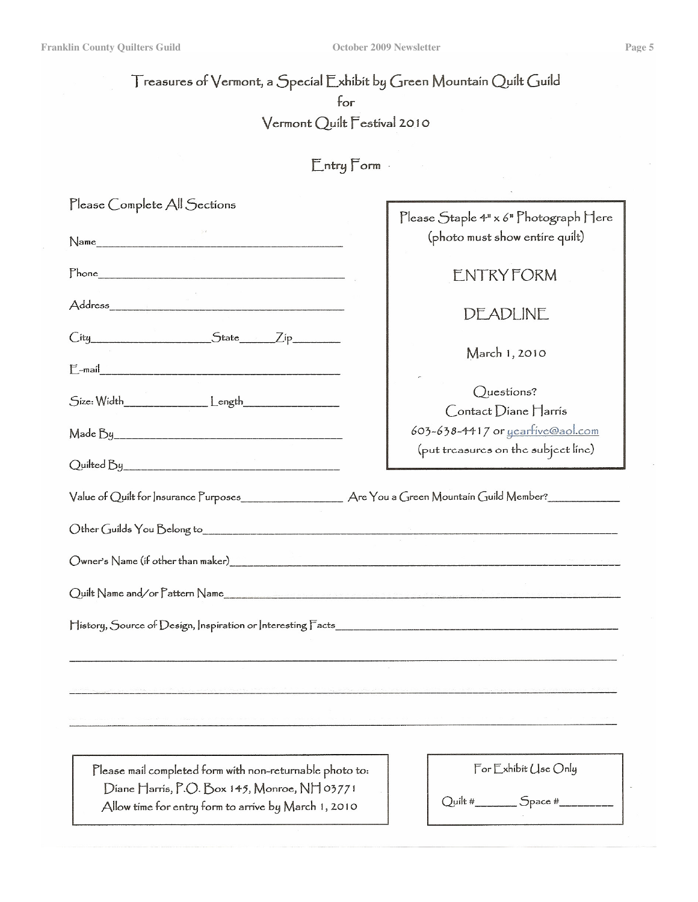**Franklin County Quilters Guild October 2009 Newsletter Page 5**

ł

# Treasures of Vermont, a Special Exhibit by Green Mountain Quilt Guild for Vermont Quilt Festival 2010

 $E$ ntry  $F$ orm

| Please Complete All Sections                                                                                                                                                                                                   |                                       |  |  |  |  |  |
|--------------------------------------------------------------------------------------------------------------------------------------------------------------------------------------------------------------------------------|---------------------------------------|--|--|--|--|--|
|                                                                                                                                                                                                                                | Please Staple 4" x 6" Photograph Here |  |  |  |  |  |
|                                                                                                                                                                                                                                | (photo must show entire quilt)        |  |  |  |  |  |
|                                                                                                                                                                                                                                | <b>ENTRY FORM</b>                     |  |  |  |  |  |
|                                                                                                                                                                                                                                | DEADLINE                              |  |  |  |  |  |
| City State Zip                                                                                                                                                                                                                 | March 1, 2010                         |  |  |  |  |  |
|                                                                                                                                                                                                                                |                                       |  |  |  |  |  |
|                                                                                                                                                                                                                                | Questions?                            |  |  |  |  |  |
|                                                                                                                                                                                                                                | Contact Diane Harris                  |  |  |  |  |  |
|                                                                                                                                                                                                                                | 603-638-4417 or yeartive@aol.com      |  |  |  |  |  |
|                                                                                                                                                                                                                                | (put treasures on the subject line)   |  |  |  |  |  |
|                                                                                                                                                                                                                                |                                       |  |  |  |  |  |
|                                                                                                                                                                                                                                |                                       |  |  |  |  |  |
|                                                                                                                                                                                                                                |                                       |  |  |  |  |  |
|                                                                                                                                                                                                                                |                                       |  |  |  |  |  |
|                                                                                                                                                                                                                                |                                       |  |  |  |  |  |
| provided and the property of the state of the SCO state of the state of the state of the state of the state of the state of the state of the state of the state of the state of the state of the state of the state of the sta |                                       |  |  |  |  |  |
|                                                                                                                                                                                                                                |                                       |  |  |  |  |  |
| Please mail completed form with non-returnable photo to:                                                                                                                                                                       | For Exhibit Use Only                  |  |  |  |  |  |
| Diane Harris, P.O. Box 145, Monroe, NH 03771                                                                                                                                                                                   |                                       |  |  |  |  |  |
| Allow time for entry form to arrive by March 1, 2010                                                                                                                                                                           | $Quilt # \_$ $Space #$                |  |  |  |  |  |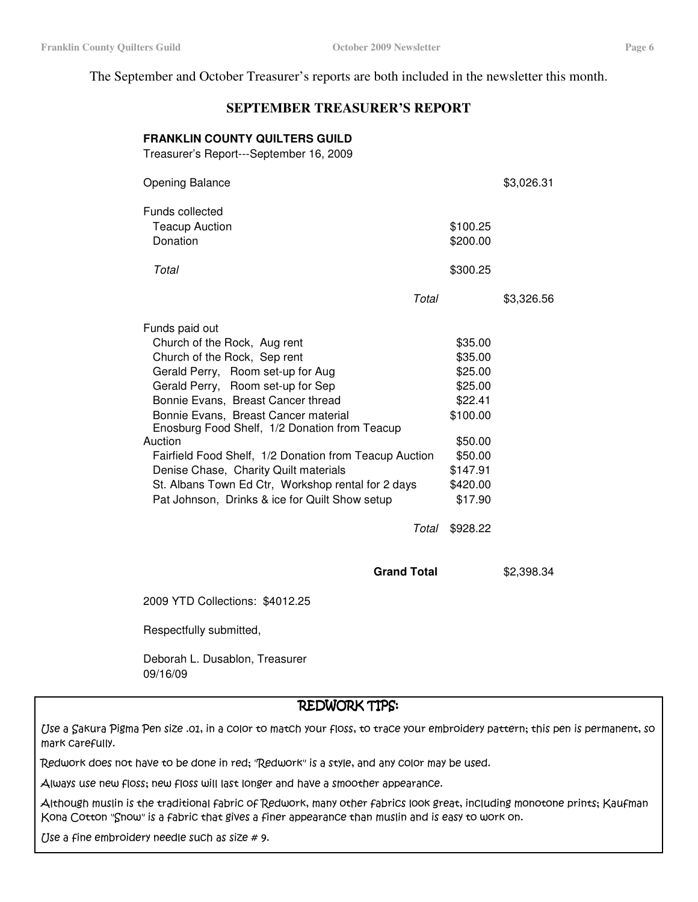The September and October Treasurer's reports are both included in the newsletter this month.

### **SEPTEMBER TREASURER'S REPORT**

### **FRANKLIN COUNTY QUILTERS GUILD**

Treasurer's Report---September 16, 2009

| <b>Opening Balance</b>                                 |       |          | \$3,026.31 |
|--------------------------------------------------------|-------|----------|------------|
| Funds collected                                        |       |          |            |
| <b>Teacup Auction</b>                                  |       | \$100.25 |            |
| Donation                                               |       | \$200.00 |            |
|                                                        |       |          |            |
| Total                                                  |       | \$300.25 |            |
|                                                        | Total |          | \$3,326.56 |
|                                                        |       |          |            |
| Funds paid out                                         |       |          |            |
| Church of the Rock, Aug rent                           |       | \$35.00  |            |
| Church of the Rock, Sep rent                           |       | \$35.00  |            |
| Gerald Perry, Room set-up for Aug                      |       | \$25.00  |            |
| Gerald Perry, Room set-up for Sep                      |       | \$25.00  |            |
| Bonnie Evans, Breast Cancer thread                     |       | \$22.41  |            |
| Bonnie Evans, Breast Cancer material                   |       | \$100.00 |            |
| Enosburg Food Shelf, 1/2 Donation from Teacup          |       |          |            |
| Auction                                                |       | \$50.00  |            |
| Fairfield Food Shelf, 1/2 Donation from Teacup Auction |       | \$50.00  |            |
| Denise Chase, Charity Quilt materials                  |       | \$147.91 |            |
| St. Albans Town Ed Ctr, Workshop rental for 2 days     |       | \$420.00 |            |
| Pat Johnson, Drinks & ice for Quilt Show setup         |       | \$17.90  |            |
|                                                        | Total | \$928.22 |            |
|                                                        |       |          |            |

2009 YTD Collections: \$4012.25

Respectfully submitted,

Deborah L. Dusablon, Treasurer 09/16/09

### REDWORK TIPS:

**Grand Total** \$2,398.34

(Jse a Sakura Pigma Pen size .01, in a color to match your floss, to trace your embroidery pattern; this pen is permanent, so mark Carefully.

Redwork does not have to be done in red; 'Redwork'' is a style, and any color may be used.

Always use new floss; new floss will last longer and have a smoother appearance.

Although muslin is the traditional fabric of Redwork, many other fabrics look great, including monotone prints; Kaufman Kona Cotton "Snow" is a fabric that gives a finer appearance than muslin and is easy to work on.

Use a fine embroidery needle such as size  $# 9$ .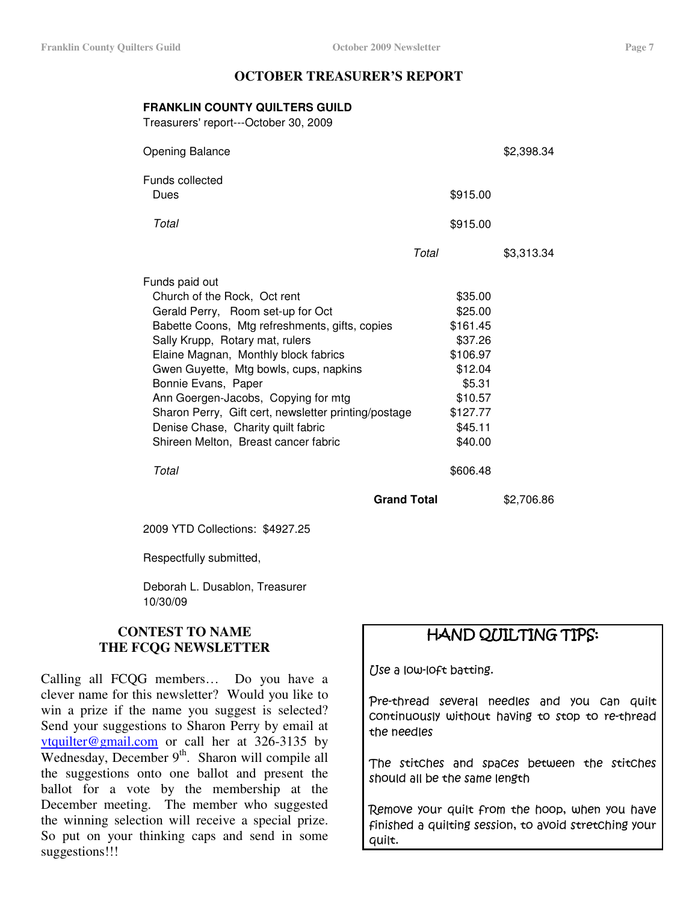### **OCTOBER TREASURER'S REPORT**

### **FRANKLIN COUNTY QUILTERS GUILD**

Treasurers'report---October 30, 2009

| <b>Opening Balance</b>                               |       |          | \$2,398.34 |
|------------------------------------------------------|-------|----------|------------|
| Funds collected                                      |       |          |            |
| Dues                                                 |       | \$915.00 |            |
| Total                                                |       | \$915.00 |            |
|                                                      | Total |          | \$3,313.34 |
| Funds paid out                                       |       |          |            |
| Church of the Rock, Oct rent                         |       | \$35.00  |            |
| Gerald Perry, Room set-up for Oct                    |       | \$25.00  |            |
| Babette Coons, Mtg refreshments, gifts, copies       |       | \$161.45 |            |
| Sally Krupp, Rotary mat, rulers                      |       | \$37.26  |            |
| Elaine Magnan, Monthly block fabrics                 |       | \$106.97 |            |
| Gwen Guyette, Mtg bowls, cups, napkins               |       | \$12.04  |            |
| Bonnie Evans, Paper                                  |       | \$5.31   |            |
| Ann Goergen-Jacobs, Copying for mtg                  |       | \$10.57  |            |
| Sharon Perry, Gift cert, newsletter printing/postage |       | \$127.77 |            |
| Denise Chase, Charity quilt fabric                   |       | \$45.11  |            |
| Shireen Melton, Breast cancer fabric                 |       | \$40.00  |            |
| Total                                                |       | \$606.48 |            |

**Grand Total** \$2,706.86

2009 YTD Collections: \$4927.25

Respectfully submitted,

Deborah L. Dusablon, Treasurer 10/30/09

### **CONTEST TO NAME THE FCQG NEWSLETTER**

Calling all FCQG members… Do you have a clever name for this newsletter? Would you like to win a prize if the name you suggest is selected? Send your suggestions to Sharon Perry by email at vtquilter@gmail.com or call her at 326-3135 by Wednesday, December 9<sup>th</sup>. Sharon will compile all the suggestions onto one ballot and present the ballot for a vote by the membership at the December meeting. The member who suggested the winning selection will receive a special prize. So put on your thinking caps and send in some suggestions!!!

# HAND QUILTING TIPS:

Use a low-loft batting.

Pre-thread several needles and you can quilt continuously without having to stop to re-thread the needles

The stitches and spaces between the stitches should all be the same length

Remove your quilt from the hoop, when you have finished a quilting session, to avoid stretching your quilt.